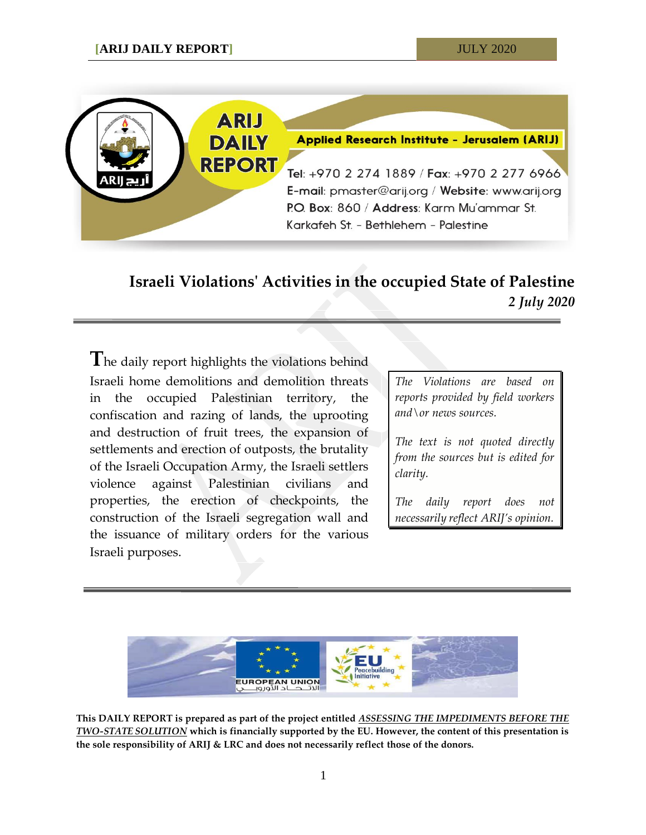

# **Israeli Violations' Activities in the occupied State of Palestine** *2 July 2020*

**T**he daily report highlights the violations behind Israeli home demolitions and demolition threats in the occupied Palestinian territory, the confiscation and razing of lands, the uprooting and destruction of fruit trees, the expansion of settlements and erection of outposts, the brutality of the Israeli Occupation Army, the Israeli settlers violence against Palestinian civilians and properties, the erection of checkpoints, the construction of the Israeli segregation wall and the issuance of military orders for the various Israeli purposes.

*The Violations are based on reports provided by field workers and\or news sources.*

*The text is not quoted directly from the sources but is edited for clarity.*

*The daily report does not necessarily reflect ARIJ's opinion.*



**This DAILY REPORT is prepared as part of the project entitled** *ASSESSING THE IMPEDIMENTS BEFORE THE TWO-STATE SOLUTION* **which is financially supported by the EU. However, the content of this presentation is the sole responsibility of ARIJ & LRC and does not necessarily reflect those of the donors.**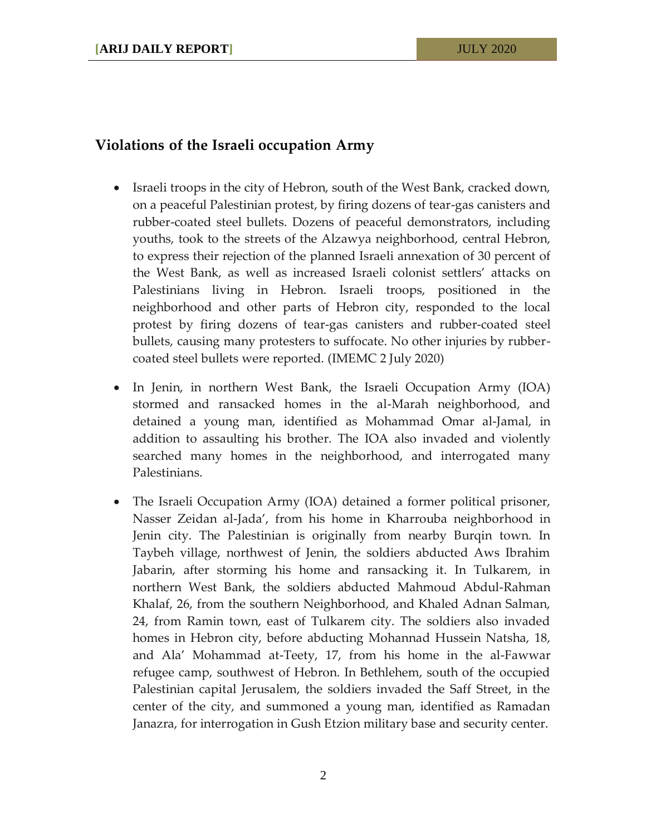### **Violations of the Israeli occupation Army**

- Israeli troops in the city of Hebron, south of the West Bank, cracked down, on a peaceful Palestinian protest, by firing dozens of tear-gas canisters and rubber-coated steel bullets. Dozens of peaceful demonstrators, including youths, took to the streets of the Alzawya neighborhood, central Hebron, to express their rejection of the planned Israeli annexation of 30 percent of the West Bank, as well as increased Israeli colonist settlers' attacks on Palestinians living in Hebron. Israeli troops, positioned in the neighborhood and other parts of Hebron city, responded to the local protest by firing dozens of tear-gas canisters and rubber-coated steel bullets, causing many protesters to suffocate. No other injuries by rubbercoated steel bullets were reported. (IMEMC 2 July 2020)
- In Jenin, in northern West Bank, the Israeli Occupation Army (IOA) stormed and ransacked homes in the al-Marah neighborhood, and detained a young man, identified as Mohammad Omar al-Jamal, in addition to assaulting his brother. The IOA also invaded and violently searched many homes in the neighborhood, and interrogated many Palestinians.
- The Israeli Occupation Army (IOA) detained a former political prisoner, Nasser Zeidan al-Jada', from his home in Kharrouba neighborhood in Jenin city. The Palestinian is originally from nearby Burqin town. In Taybeh village, northwest of Jenin, the soldiers abducted Aws Ibrahim Jabarin, after storming his home and ransacking it. In Tulkarem, in northern West Bank, the soldiers abducted Mahmoud Abdul-Rahman Khalaf, 26, from the southern Neighborhood, and Khaled Adnan Salman, 24, from Ramin town, east of Tulkarem city. The soldiers also invaded homes in Hebron city, before abducting Mohannad Hussein Natsha, 18, and Ala' Mohammad at-Teety, 17, from his home in the al-Fawwar refugee camp, southwest of Hebron. In Bethlehem, south of the occupied Palestinian capital Jerusalem, the soldiers invaded the Saff Street, in the center of the city, and summoned a young man, identified as Ramadan Janazra, for interrogation in Gush Etzion military base and security center.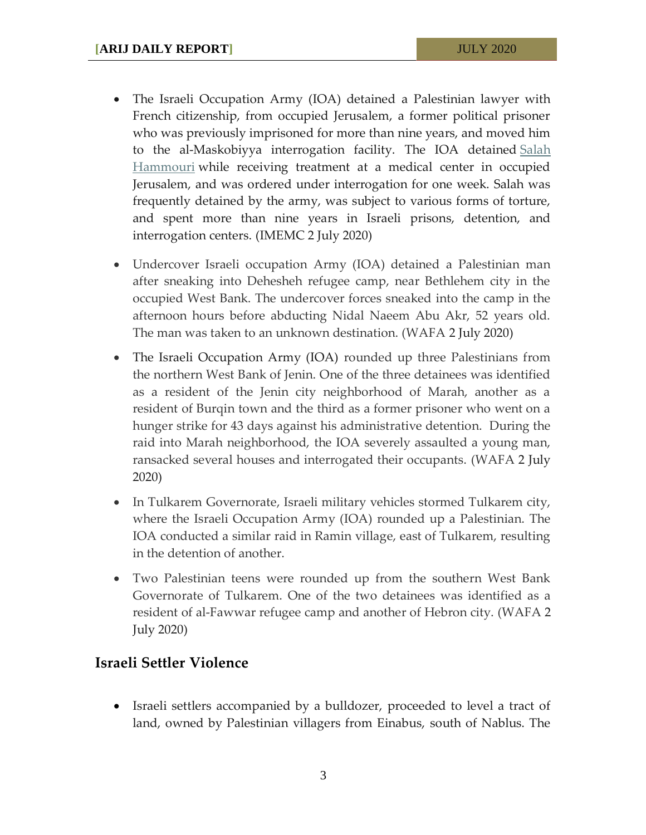- The Israeli Occupation Army (IOA) detained a Palestinian lawyer with French citizenship, from occupied Jerusalem, a former political prisoner who was previously imprisoned for more than nine years, and moved him to the al-Maskobiyya interrogation facility. The IOA detained Salah [Hammouri](https://imemc.org/article/palestinian-with-french-citizenship-rearrested-immediately-after-his-release-from-administrative-detention/) while receiving treatment at a medical center in occupied Jerusalem, and was ordered under interrogation for one week. Salah was frequently detained by the army, was subject to various forms of torture, and spent more than nine years in Israeli prisons, detention, and interrogation centers. (IMEMC 2 July 2020)
- Undercover Israeli occupation Army (IOA) detained a Palestinian man after sneaking into Dehesheh refugee camp, near Bethlehem city in the occupied West Bank. The undercover forces sneaked into the camp in the afternoon hours before abducting Nidal Naeem Abu Akr, 52 years old. The man was taken to an unknown destination. (WAFA 2 July 2020)
- The Israeli Occupation Army (IOA) rounded up three Palestinians from the northern West Bank of Jenin. One of the three detainees was identified as a resident of the Jenin city neighborhood of Marah, another as a resident of Burqin town and the third as a former prisoner who went on a hunger strike for 43 days against his administrative detention. During the raid into Marah neighborhood, the IOA severely assaulted a young man, ransacked several houses and interrogated their occupants. (WAFA 2 July 2020)
- In Tulkarem Governorate, Israeli military vehicles stormed Tulkarem city, where the Israeli Occupation Army (IOA) rounded up a Palestinian. The IOA conducted a similar raid in Ramin village, east of Tulkarem, resulting in the detention of another.
- Two Palestinian teens were rounded up from the southern West Bank Governorate of Tulkarem. One of the two detainees was identified as a resident of al-Fawwar refugee camp and another of Hebron city. (WAFA 2 July 2020)

#### **Israeli Settler Violence**

• Israeli settlers accompanied by a bulldozer, proceeded to level a tract of land, owned by Palestinian villagers from Einabus, south of Nablus. The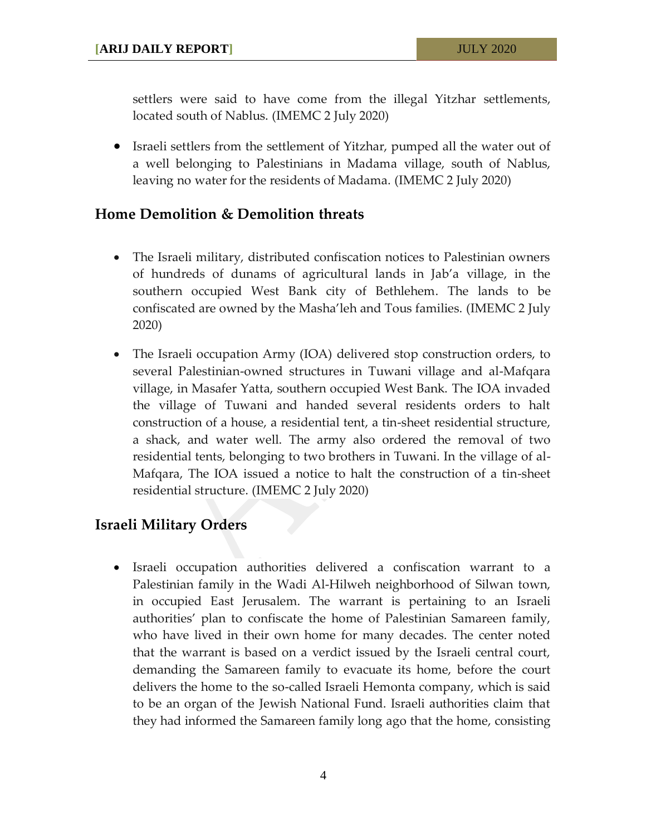settlers were said to have come from the illegal Yitzhar settlements, located south of Nablus. (IMEMC 2 July 2020)

 Israeli settlers from the settlement of Yitzhar, pumped all the water out of a well belonging to Palestinians in Madama village, south of Nablus, leaving no water for the residents of Madama. (IMEMC 2 July 2020)

## **Home Demolition & Demolition threats**

- The Israeli military, distributed confiscation notices to Palestinian owners of hundreds of dunams of agricultural lands in Jab'a village, in the southern occupied West Bank city of Bethlehem. The lands to be confiscated are owned by the Masha'leh and Tous families. (IMEMC 2 July 2020)
- The Israeli occupation Army (IOA) delivered stop construction orders, to several Palestinian-owned structures in Tuwani village and al-Mafqara village, in Masafer Yatta, southern occupied West Bank. The IOA invaded the village of Tuwani and handed several residents orders to halt construction of a house, a residential tent, a tin-sheet residential structure, a shack, and water well. The army also ordered the removal of two residential tents, belonging to two brothers in Tuwani. In the village of al-Mafqara, The IOA issued a notice to halt the construction of a tin-sheet residential structure. (IMEMC 2 July 2020)

## **Israeli Military Orders**

 Israeli occupation authorities delivered a confiscation warrant to a Palestinian family in the Wadi Al-Hilweh neighborhood of Silwan town, in occupied East Jerusalem. The warrant is pertaining to an Israeli authorities' plan to confiscate the home of Palestinian Samareen family, who have lived in their own home for many decades. The center noted that the warrant is based on a verdict issued by the Israeli central court, demanding the Samareen family to evacuate its home, before the court delivers the home to the so-called Israeli Hemonta company, which is said to be an organ of the Jewish National Fund. Israeli authorities claim that they had informed the Samareen family long ago that the home, consisting